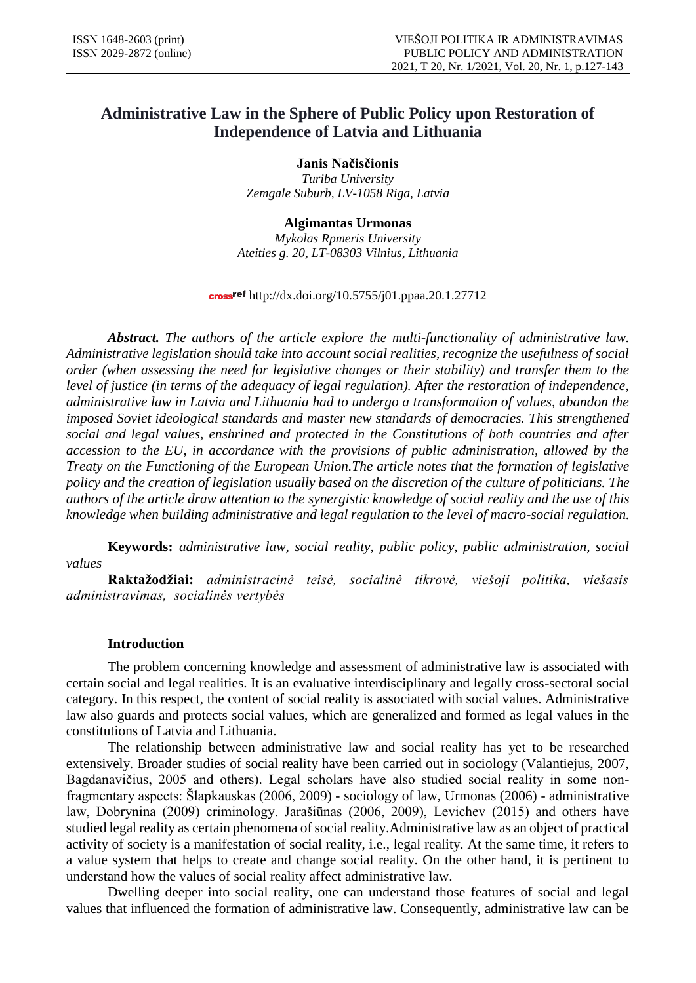# **Administrative Law in the Sphere of Public Policy upon Restoration of Independence of Latvia and Lithuania**

**Janis Načisčionis**  *Turiba University Zemgale Suburb, LV-1058 Riga, Latvia*

## **Algimantas Urmonas**

*Mykolas Rpmeris University Ateities g. 20, LT-08303 Vilnius, Lithuania*

#### cross<sup>ref</sup> http://dx.doi.org/10.5755/j01.ppaa.20.1.27712

*Abstract. The authors of the article explore the multi-functionality of administrative law. Administrative legislation should take into account social realities, recognize the usefulness of social order (when assessing the need for legislative changes or their stability) and transfer them to the level of justice (in terms of the adequacy of legal regulation). After the restoration of independence, administrative law in Latvia and Lithuania had to undergo a transformation of values, abandon the imposed Soviet ideological standards and master new standards of democracies. This strengthened social and legal values, enshrined and protected in the Constitutions of both countries and after accession to the EU, in accordance with the provisions of public administration, allowed by the Treaty on the Functioning of the European Union.The article notes that the formation of legislative policy and the creation of legislation usually based on the discretion of the culture of politicians. The authors of the article draw attention to the synergistic knowledge of social reality and the use of this knowledge when building administrative and legal regulation to the level of macro-social regulation.*

**Keywords:** *administrative law, social reality, public policy, public administration, social values*

**Raktažodžiai:** *administracinė teisė, socialinė tikrovė, viešoji politika, viešasis administravimas, socialinės vertybės*

### **Introduction**

The problem concerning knowledge and assessment of administrative law is associated with certain social and legal realities. It is an evaluative interdisciplinary and legally cross-sectoral social category. In this respect, the content of social reality is associated with social values. Administrative law also guards and protects social values, which are generalized and formed as legal values in the constitutions of Latvia and Lithuania.

The relationship between administrative law and social reality has yet to be researched extensively. Broader studies of social reality have been carried out in sociology (Valantiejus, 2007, Bagdanavičius, 2005 and others). Legal scholars have also studied social reality in some nonfragmentary aspects: Šlapkauskas (2006, 2009) - sociology of law, Urmonas (2006) - administrative law, Dobrynina (2009) criminology. Jarašiūnas (2006, 2009), Levichev (2015) and others have studied legal reality as certain phenomena of social reality.Administrative law as an object of practical activity of society is a manifestation of social reality, i.e., legal reality. At the same time, it refers to a value system that helps to create and change social reality. On the other hand, it is pertinent to understand how the values of social reality affect administrative law.

Dwelling deeper into social reality, one can understand those features of social and legal values that influenced the formation of administrative law. Consequently, administrative law can be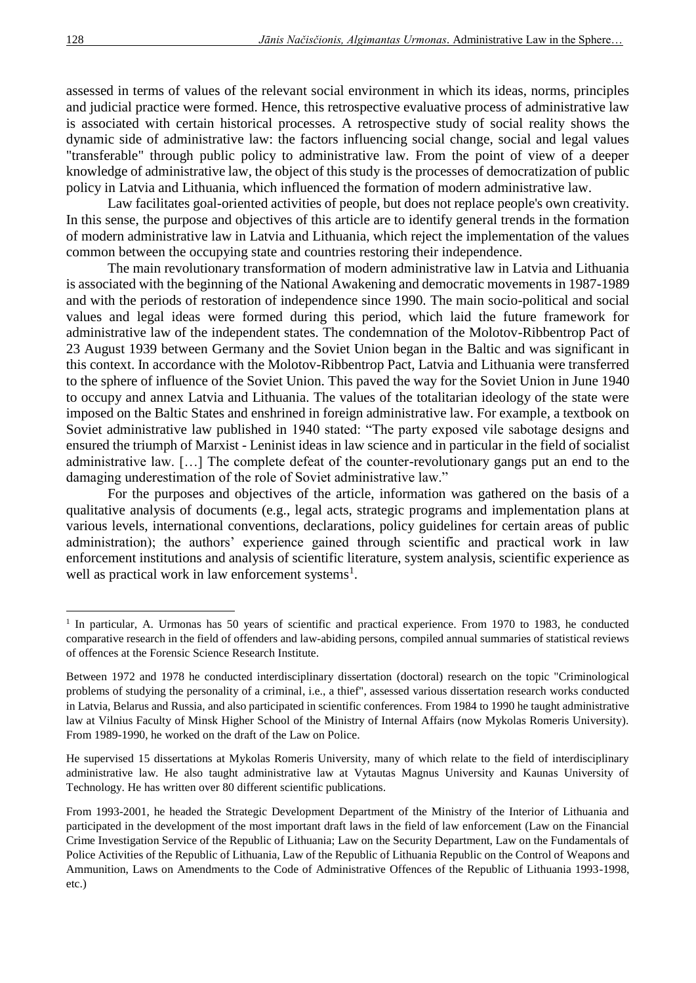assessed in terms of values of the relevant social environment in which its ideas, norms, principles and judicial practice were formed. Hence, this retrospective evaluative process of administrative law is associated with certain historical processes. A retrospective study of social reality shows the dynamic side of administrative law: the factors influencing social change, social and legal values "transferable" through public policy to administrative law. From the point of view of a deeper knowledge of administrative law, the object of this study is the processes of democratization of public policy in Latvia and Lithuania, which influenced the formation of modern administrative law.

Law facilitates goal-oriented activities of people, but does not replace people's own creativity. In this sense, the purpose and objectives of this article are to identify general trends in the formation of modern administrative law in Latvia and Lithuania, which reject the implementation of the values common between the occupying state and countries restoring their independence.

The main revolutionary transformation of modern administrative law in Latvia and Lithuania is associated with the beginning of the National Awakening and democratic movements in 1987-1989 and with the periods of restoration of independence since 1990. The main socio-political and social values and legal ideas were formed during this period, which laid the future framework for administrative law of the independent states. The condemnation of the Molotov-Ribbentrop Pact of 23 August 1939 between Germany and the Soviet Union began in the Baltic and was significant in this context. In accordance with the Molotov-Ribbentrop Pact, Latvia and Lithuania were transferred to the sphere of influence of the Soviet Union. This paved the way for the Soviet Union in June 1940 to occupy and annex Latvia and Lithuania. The values of the totalitarian ideology of the state were imposed on the Baltic States and enshrined in foreign administrative law. For example, a textbook on Soviet administrative law published in 1940 stated: "The party exposed vile sabotage designs and ensured the triumph of Marxist - Leninist ideas in law science and in particular in the field of socialist administrative law. […] The complete defeat of the counter-revolutionary gangs put an end to the damaging underestimation of the role of Soviet administrative law."

For the purposes and objectives of the article, information was gathered on the basis of a qualitative analysis of documents (e.g., legal acts, strategic programs and implementation plans at various levels, international conventions, declarations, policy guidelines for certain areas of public administration); the authors' experience gained through scientific and practical work in law enforcement institutions and analysis of scientific literature, system analysis, scientific experience as well as practical work in law enforcement systems<sup>1</sup>.

 $\overline{a}$ 

<sup>&</sup>lt;sup>1</sup> In particular, A. Urmonas has 50 years of scientific and practical experience. From 1970 to 1983, he conducted comparative research in the field of offenders and law-abiding persons, compiled annual summaries of statistical reviews of offences at the Forensic Science Research Institute.

Between 1972 and 1978 he conducted interdisciplinary dissertation (doctoral) research on the topic "Criminological problems of studying the personality of a criminal, i.e., a thief", assessed various dissertation research works conducted in Latvia, Belarus and Russia, and also participated in scientific conferences. From 1984 to 1990 he taught administrative law at Vilnius Faculty of Minsk Higher School of the Ministry of Internal Affairs (now Mykolas Romeris University). From 1989-1990, he worked on the draft of the Law on Police.

He supervised 15 dissertations at Mykolas Romeris University, many of which relate to the field of interdisciplinary administrative law. He also taught administrative law at Vytautas Magnus University and Kaunas University of Technology. He has written over 80 different scientific publications.

From 1993-2001, he headed the Strategic Development Department of the Ministry of the Interior of Lithuania and participated in the development of the most important draft laws in the field of law enforcement (Law on the Financial Crime Investigation Service of the Republic of Lithuania; Law on the Security Department, Law on the Fundamentals of Police Activities of the Republic of Lithuania, Law of the Republic of Lithuania Republic on the Control of Weapons and Ammunition, Laws on Amendments to the Code of Administrative Offences of the Republic of Lithuania 1993-1998, etc.)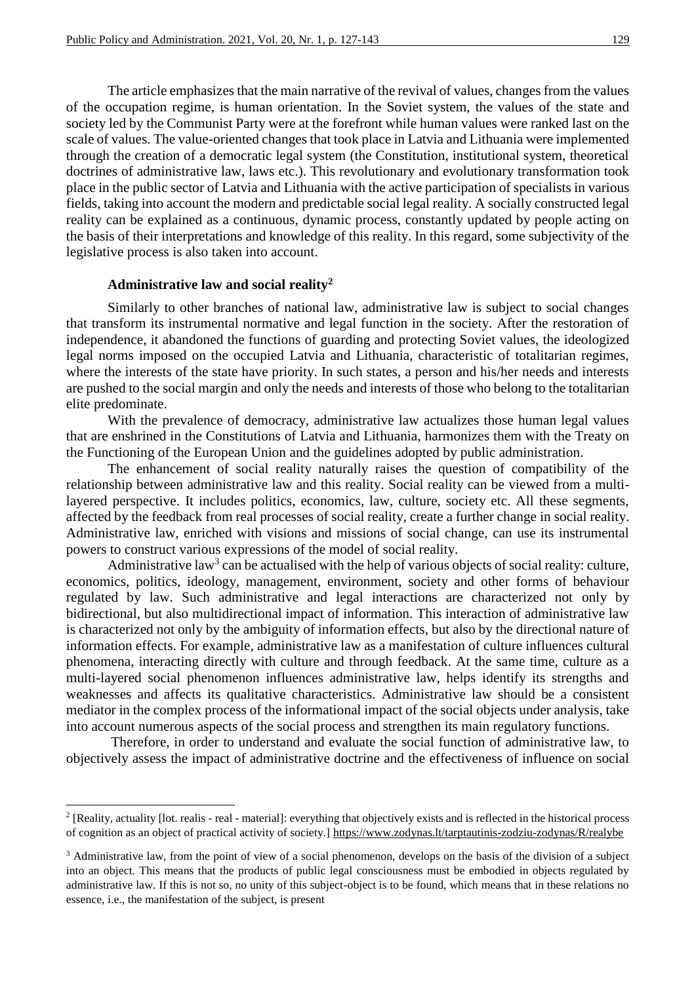The article emphasizes that the main narrative of the revival of values, changes from the values of the occupation regime, is human orientation. In the Soviet system, the values of the state and society led by the Communist Party were at the forefront while human values were ranked last on the scale of values. The value-oriented changes that took place in Latvia and Lithuania were implemented through the creation of a democratic legal system (the Constitution, institutional system, theoretical doctrines of administrative law, laws etc.). This revolutionary and evolutionary transformation took place in the public sector of Latvia and Lithuania with the active participation of specialists in various fields, taking into account the modern and predictable social legal reality. A socially constructed legal reality can be explained as a continuous, dynamic process, constantly updated by people acting on the basis of their interpretations and knowledge of this reality. In this regard, some subjectivity of the legislative process is also taken into account.

#### **Administrative law and social reality<sup>2</sup>**

1

Similarly to other branches of national law, administrative law is subject to social changes that transform its instrumental normative and legal function in the society. After the restoration of independence, it abandoned the functions of guarding and protecting Soviet values, the ideologized legal norms imposed on the occupied Latvia and Lithuania, characteristic of totalitarian regimes, where the interests of the state have priority. In such states, a person and his/her needs and interests are pushed to the social margin and only the needs and interests of those who belong to the totalitarian elite predominate.

With the prevalence of democracy, administrative law actualizes those human legal values that are enshrined in the Constitutions of Latvia and Lithuania, harmonizes them with the Treaty on the Functioning of the European Union and the guidelines adopted by public administration.

The enhancement of social reality naturally raises the question of compatibility of the relationship between administrative law and this reality. Social reality can be viewed from a multilayered perspective. It includes politics, economics, law, culture, society etc. All these segments, affected by the feedback from real processes of social reality, create a further change in social reality. Administrative law, enriched with visions and missions of social change, can use its instrumental powers to construct various expressions of the model of social reality.

Administrative law<sup>3</sup> can be actualised with the help of various objects of social reality: culture, economics, politics, ideology, management, environment, society and other forms of behaviour regulated by law. Such administrative and legal interactions are characterized not only by bidirectional, but also multidirectional impact of information. This interaction of administrative law is characterized not only by the ambiguity of information effects, but also by the directional nature of information effects. For example, administrative law as a manifestation of culture influences cultural phenomena, interacting directly with culture and through feedback. At the same time, culture as a multi-layered social phenomenon influences administrative law, helps identify its strengths and weaknesses and affects its qualitative characteristics. Administrative law should be a consistent mediator in the complex process of the informational impact of the social objects under analysis, take into account numerous aspects of the social process and strengthen its main regulatory functions.

Therefore, in order to understand and evaluate the social function of administrative law, to objectively assess the impact of administrative doctrine and the effectiveness of influence on social

 $2$  [Reality, actuality [lot. realis - real - material]: everything that objectively exists and is reflected in the historical process of cognition as an object of practical activity of society.] <https://www.zodynas.lt/tarptautinis-zodziu-zodynas/R/realybe>

<sup>&</sup>lt;sup>3</sup> Administrative law, from the point of view of a social phenomenon, develops on the basis of the division of a subject into an object. This means that the products of public legal consciousness must be embodied in objects regulated by administrative law. If this is not so, no unity of this subject-object is to be found, which means that in these relations no essence, i.e., the manifestation of the subject, is present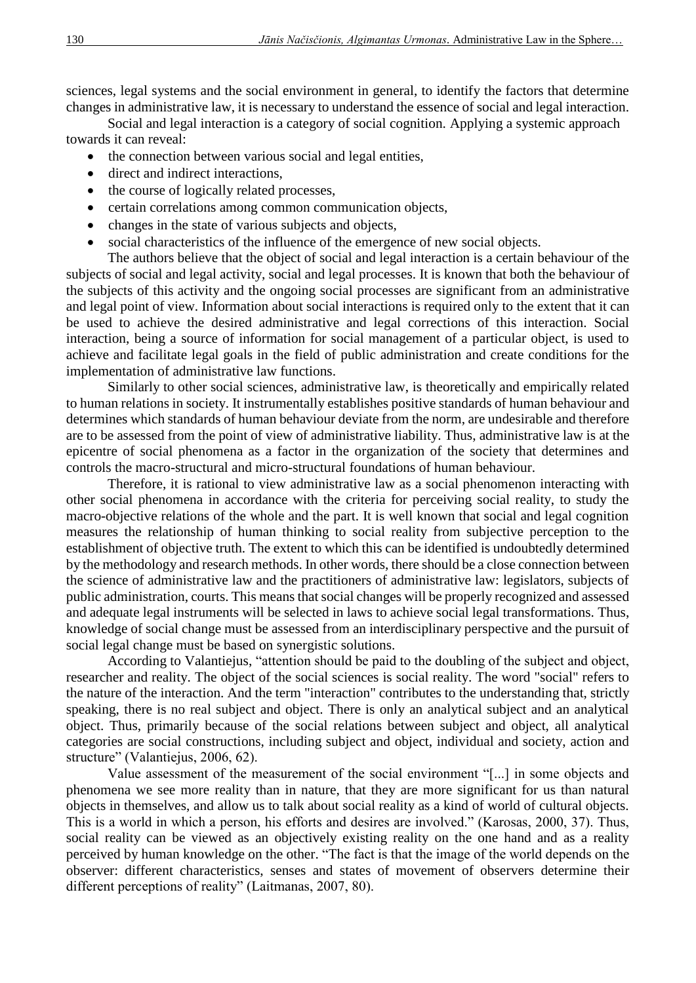sciences, legal systems and the social environment in general, to identify the factors that determine changes in administrative law, it is necessary to understand the essence of social and legal interaction.

Social and legal interaction is a category of social cognition. Applying a systemic approach towards it can reveal:

- the connection between various social and legal entities,
- direct and indirect interactions,
- the course of logically related processes,
- certain correlations among common communication objects,
- changes in the state of various subjects and objects,
- social characteristics of the influence of the emergence of new social objects.

The authors believe that the object of social and legal interaction is a certain behaviour of the subjects of social and legal activity, social and legal processes. It is known that both the behaviour of the subjects of this activity and the ongoing social processes are significant from an administrative and legal point of view. Information about social interactions is required only to the extent that it can be used to achieve the desired administrative and legal corrections of this interaction. Social interaction, being a source of information for social management of a particular object, is used to achieve and facilitate legal goals in the field of public administration and create conditions for the implementation of administrative law functions.

Similarly to other social sciences, administrative law, is theoretically and empirically related to human relations in society. It instrumentally establishes positive standards of human behaviour and determines which standards of human behaviour deviate from the norm, are undesirable and therefore are to be assessed from the point of view of administrative liability. Thus, administrative law is at the epicentre of social phenomena as a factor in the organization of the society that determines and controls the macro-structural and micro-structural foundations of human behaviour.

Therefore, it is rational to view administrative law as a social phenomenon interacting with other social phenomena in accordance with the criteria for perceiving social reality, to study the macro-objective relations of the whole and the part. It is well known that social and legal cognition measures the relationship of human thinking to social reality from subjective perception to the establishment of objective truth. The extent to which this can be identified is undoubtedly determined by the methodology and research methods. In other words, there should be a close connection between the science of administrative law and the practitioners of administrative law: legislators, subjects of public administration, courts. This means that social changes will be properly recognized and assessed and adequate legal instruments will be selected in laws to achieve social legal transformations. Thus, knowledge of social change must be assessed from an interdisciplinary perspective and the pursuit of social legal change must be based on synergistic solutions.

According to Valantiejus, "attention should be paid to the doubling of the subject and object, researcher and reality. The object of the social sciences is social reality. The word "social" refers to the nature of the interaction. And the term "interaction" contributes to the understanding that, strictly speaking, there is no real subject and object. There is only an analytical subject and an analytical object. Thus, primarily because of the social relations between subject and object, all analytical categories are social constructions, including subject and object, individual and society, action and structure" (Valantiejus, 2006, 62).

Value assessment of the measurement of the social environment "[...] in some objects and phenomena we see more reality than in nature, that they are more significant for us than natural objects in themselves, and allow us to talk about social reality as a kind of world of cultural objects. This is a world in which a person, his efforts and desires are involved." (Karosas, 2000, 37). Thus, social reality can be viewed as an objectively existing reality on the one hand and as a reality perceived by human knowledge on the other. "The fact is that the image of the world depends on the observer: different characteristics, senses and states of movement of observers determine their different perceptions of reality" (Laitmanas, 2007, 80).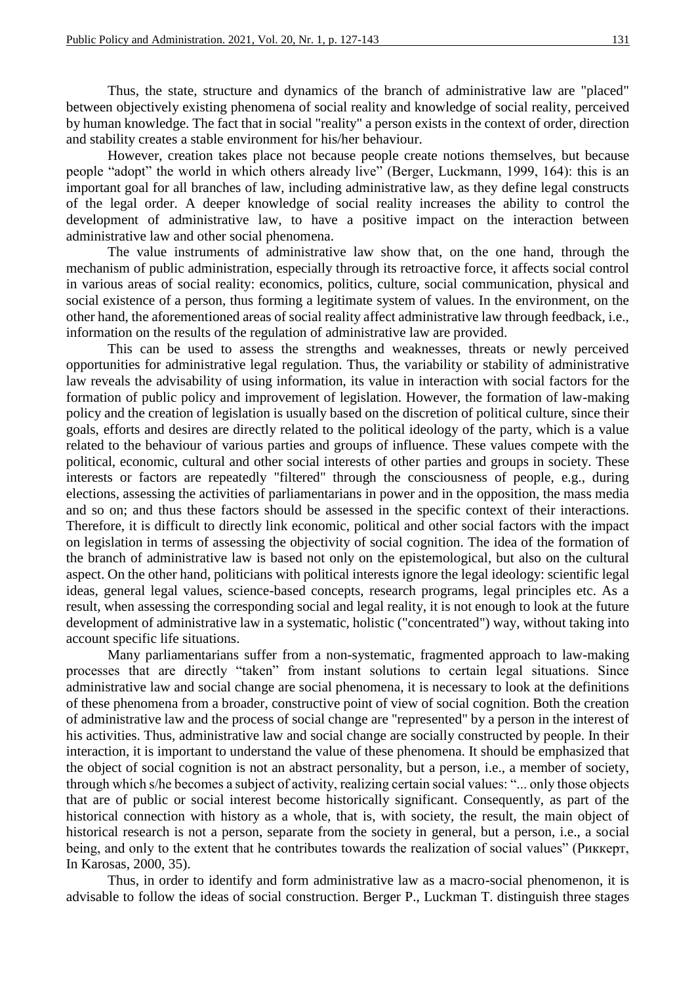Thus, the state, structure and dynamics of the branch of administrative law are "placed" between objectively existing phenomena of social reality and knowledge of social reality, perceived by human knowledge. The fact that in social "reality" a person exists in the context of order, direction and stability creates a stable environment for his/her behaviour.

However, creation takes place not because people create notions themselves, but because people "adopt" the world in which others already live" (Berger, Luckmann, 1999, 164): this is an important goal for all branches of law, including administrative law, as they define legal constructs of the legal order. A deeper knowledge of social reality increases the ability to control the development of administrative law, to have a positive impact on the interaction between administrative law and other social phenomena.

The value instruments of administrative law show that, on the one hand, through the mechanism of public administration, especially through its retroactive force, it affects social control in various areas of social reality: economics, politics, culture, social communication, physical and social existence of a person, thus forming a legitimate system of values. In the environment, on the other hand, the aforementioned areas of social reality affect administrative law through feedback, i.e., information on the results of the regulation of administrative law are provided.

This can be used to assess the strengths and weaknesses, threats or newly perceived opportunities for administrative legal regulation. Thus, the variability or stability of administrative law reveals the advisability of using information, its value in interaction with social factors for the formation of public policy and improvement of legislation. However, the formation of law-making policy and the creation of legislation is usually based on the discretion of political culture, since their goals, efforts and desires are directly related to the political ideology of the party, which is a value related to the behaviour of various parties and groups of influence. These values compete with the political, economic, cultural and other social interests of other parties and groups in society. These interests or factors are repeatedly "filtered" through the consciousness of people, e.g., during elections, assessing the activities of parliamentarians in power and in the opposition, the mass media and so on; and thus these factors should be assessed in the specific context of their interactions. Therefore, it is difficult to directly link economic, political and other social factors with the impact on legislation in terms of assessing the objectivity of social cognition. The idea of the formation of the branch of administrative law is based not only on the epistemological, but also on the cultural aspect. On the other hand, politicians with political interests ignore the legal ideology: scientific legal ideas, general legal values, science-based concepts, research programs, legal principles etc. As a result, when assessing the corresponding social and legal reality, it is not enough to look at the future development of administrative law in a systematic, holistic ("concentrated") way, without taking into account specific life situations.

Many parliamentarians suffer from a non-systematic, fragmented approach to law-making processes that are directly "taken" from instant solutions to certain legal situations. Since administrative law and social change are social phenomena, it is necessary to look at the definitions of these phenomena from a broader, constructive point of view of social cognition. Both the creation of administrative law and the process of social change are "represented" by a person in the interest of his activities. Thus, administrative law and social change are socially constructed by people. In their interaction, it is important to understand the value of these phenomena. It should be emphasized that the object of social cognition is not an abstract personality, but a person, i.e., a member of society, through which s/he becomes a subject of activity, realizing certain social values: "... only those objects that are of public or social interest become historically significant. Consequently, as part of the historical connection with history as a whole, that is, with society, the result, the main object of historical research is not a person, separate from the society in general, but a person, i.e., a social being, and only to the extent that he contributes towards the realization of social values" (Риккерт, In Karosas, 2000, 35).

Thus, in order to identify and form administrative law as a macro-social phenomenon, it is advisable to follow the ideas of social construction. Berger P., Luckman T. distinguish three stages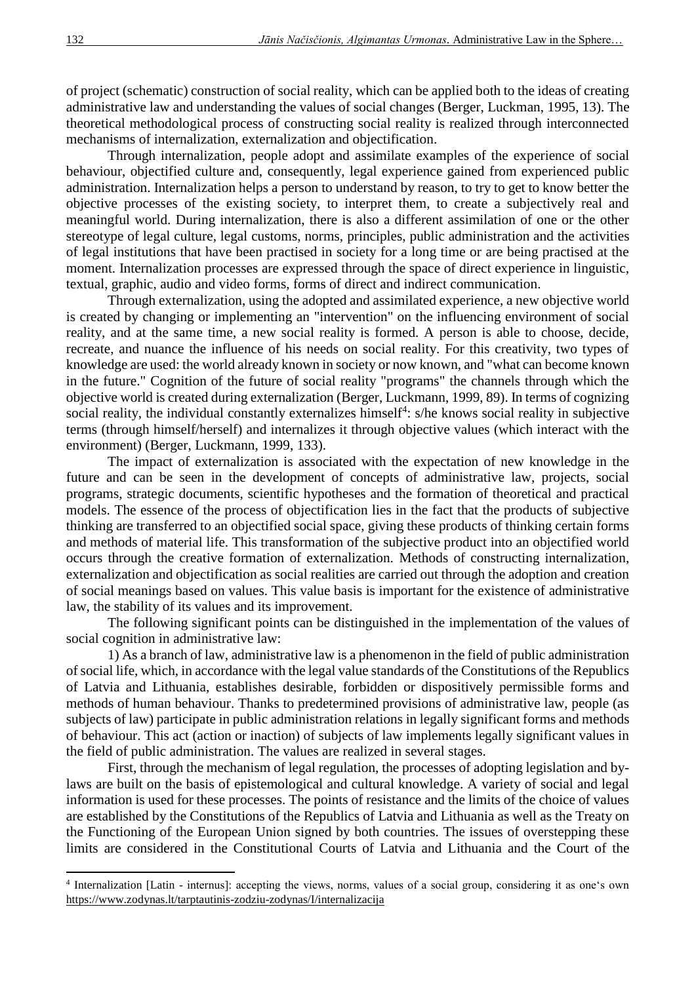of project (schematic) construction of social reality, which can be applied both to the ideas of creating administrative law and understanding the values of social changes (Berger, Luckman, 1995, 13). The theoretical methodological process of constructing social reality is realized through interconnected mechanisms of internalization, externalization and objectification.

Through internalization, people adopt and assimilate examples of the experience of social behaviour, objectified culture and, consequently, legal experience gained from experienced public administration. Internalization helps a person to understand by reason, to try to get to know better the objective processes of the existing society, to interpret them, to create a subjectively real and meaningful world. During internalization, there is also a different assimilation of one or the other stereotype of legal culture, legal customs, norms, principles, public administration and the activities of legal institutions that have been practised in society for a long time or are being practised at the moment. Internalization processes are expressed through the space of direct experience in linguistic, textual, graphic, audio and video forms, forms of direct and indirect communication.

Through externalization, using the adopted and assimilated experience, a new objective world is created by changing or implementing an "intervention" on the influencing environment of social reality, and at the same time, a new social reality is formed. A person is able to choose, decide, recreate, and nuance the influence of his needs on social reality. For this creativity, two types of knowledge are used: the world already known in society or now known, and "what can become known in the future." Cognition of the future of social reality "programs" the channels through which the objective world is created during externalization (Berger, Luckmann, 1999, 89). In terms of cognizing social reality, the individual constantly externalizes himself<sup>4</sup>:  $s$ /he knows social reality in subjective terms (through himself/herself) and internalizes it through objective values (which interact with the environment) (Berger, Luckmann, 1999, 133).

The impact of externalization is associated with the expectation of new knowledge in the future and can be seen in the development of concepts of administrative law, projects, social programs, strategic documents, scientific hypotheses and the formation of theoretical and practical models. The essence of the process of objectification lies in the fact that the products of subjective thinking are transferred to an objectified social space, giving these products of thinking certain forms and methods of material life. This transformation of the subjective product into an objectified world occurs through the creative formation of externalization. Methods of constructing internalization, externalization and objectification as social realities are carried out through the adoption and creation of social meanings based on values. This value basis is important for the existence of administrative law, the stability of its values and its improvement.

The following significant points can be distinguished in the implementation of the values of social cognition in administrative law:

1) As a branch of law, administrative law is a phenomenon in the field of public administration of social life, which, in accordance with the legal value standards of the Constitutions of the Republics of Latvia and Lithuania, establishes desirable, forbidden or dispositively permissible forms and methods of human behaviour. Thanks to predetermined provisions of administrative law, people (as subjects of law) participate in public administration relations in legally significant forms and methods of behaviour. This act (action or inaction) of subjects of law implements legally significant values in the field of public administration. The values are realized in several stages.

First, through the mechanism of legal regulation, the processes of adopting legislation and bylaws are built on the basis of epistemological and cultural knowledge. A variety of social and legal information is used for these processes. The points of resistance and the limits of the choice of values are established by the Constitutions of the Republics of Latvia and Lithuania as well as the Treaty on the Functioning of the European Union signed by both countries. The issues of overstepping these limits are considered in the Constitutional Courts of Latvia and Lithuania and the Court of the

<sup>4</sup> Internalization [Latin - internus]: accepting the views, norms, values of a social group, considering it as one's own <https://www.zodynas.lt/tarptautinis-zodziu-zodynas/I/internalizacija>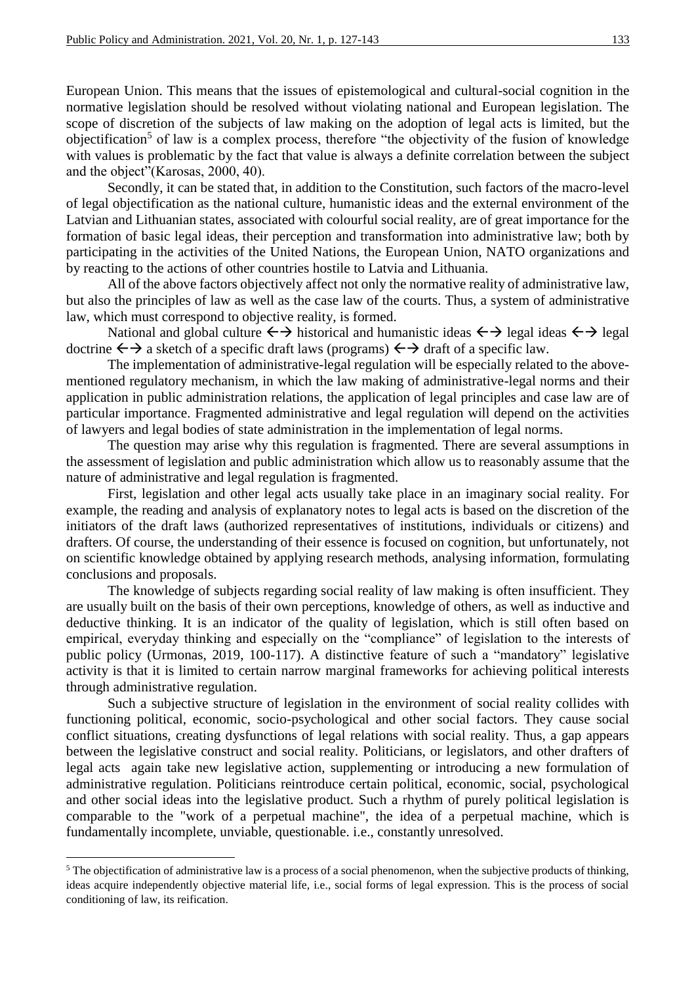European Union. This means that the issues of epistemological and cultural-social cognition in the normative legislation should be resolved without violating national and European legislation. The scope of discretion of the subjects of law making on the adoption of legal acts is limited, but the objectification<sup>5</sup> of law is a complex process, therefore "the objectivity of the fusion of knowledge with values is problematic by the fact that value is always a definite correlation between the subject and the object"(Karosas, 2000, 40).

Secondly, it can be stated that, in addition to the Constitution, such factors of the macro-level of legal objectification as the national culture, humanistic ideas and the external environment of the Latvian and Lithuanian states, associated with colourful social reality, are of great importance for the formation of basic legal ideas, their perception and transformation into administrative law; both by participating in the activities of the United Nations, the European Union, NATO organizations and by reacting to the actions of other countries hostile to Latvia and Lithuania.

All of the above factors objectively affect not only the normative reality of administrative law, but also the principles of law as well as the case law of the courts. Thus, a system of administrative law, which must correspond to objective reality, is formed.

National and global culture  $\leftrightarrow$  historical and humanistic ideas  $\leftrightarrow$  legal ideas  $\leftrightarrow$  legal doctrine  $\leftrightarrow$  a sketch of a specific draft laws (programs)  $\leftrightarrow$  draft of a specific law.

The implementation of administrative-legal regulation will be especially related to the abovementioned regulatory mechanism, in which the law making of administrative-legal norms and their application in public administration relations, the application of legal principles and case law are of particular importance. Fragmented administrative and legal regulation will depend on the activities of lawyers and legal bodies of state administration in the implementation of legal norms.

The question may arise why this regulation is fragmented. There are several assumptions in the assessment of legislation and public administration which allow us to reasonably assume that the nature of administrative and legal regulation is fragmented.

First, legislation and other legal acts usually take place in an imaginary social reality. For example, the reading and analysis of explanatory notes to legal acts is based on the discretion of the initiators of the draft laws (authorized representatives of institutions, individuals or citizens) and drafters. Of course, the understanding of their essence is focused on cognition, but unfortunately, not on scientific knowledge obtained by applying research methods, analysing information, formulating conclusions and proposals.

The knowledge of subjects regarding social reality of law making is often insufficient. They are usually built on the basis of their own perceptions, knowledge of others, as well as inductive and deductive thinking. It is an indicator of the quality of legislation, which is still often based on empirical, everyday thinking and especially on the "compliance" of legislation to the interests of public policy (Urmonas, 2019, 100-117). A distinctive feature of such a "mandatory" legislative activity is that it is limited to certain narrow marginal frameworks for achieving political interests through administrative regulation.

Such a subjective structure of legislation in the environment of social reality collides with functioning political, economic, socio-psychological and other social factors. They cause social conflict situations, creating dysfunctions of legal relations with social reality. Thus, a gap appears between the legislative construct and social reality. Politicians, or legislators, and other drafters of legal acts again take new legislative action, supplementing or introducing a new formulation of administrative regulation. Politicians reintroduce certain political, economic, social, psychological and other social ideas into the legislative product. Such a rhythm of purely political legislation is comparable to the "work of a perpetual machine", the idea of a perpetual machine, which is fundamentally incomplete, unviable, questionable. i.e., constantly unresolved.

<sup>&</sup>lt;sup>5</sup> The objectification of administrative law is a process of a social phenomenon, when the subjective products of thinking, ideas acquire independently objective material life, i.e., social forms of legal expression. This is the process of social conditioning of law, its reification.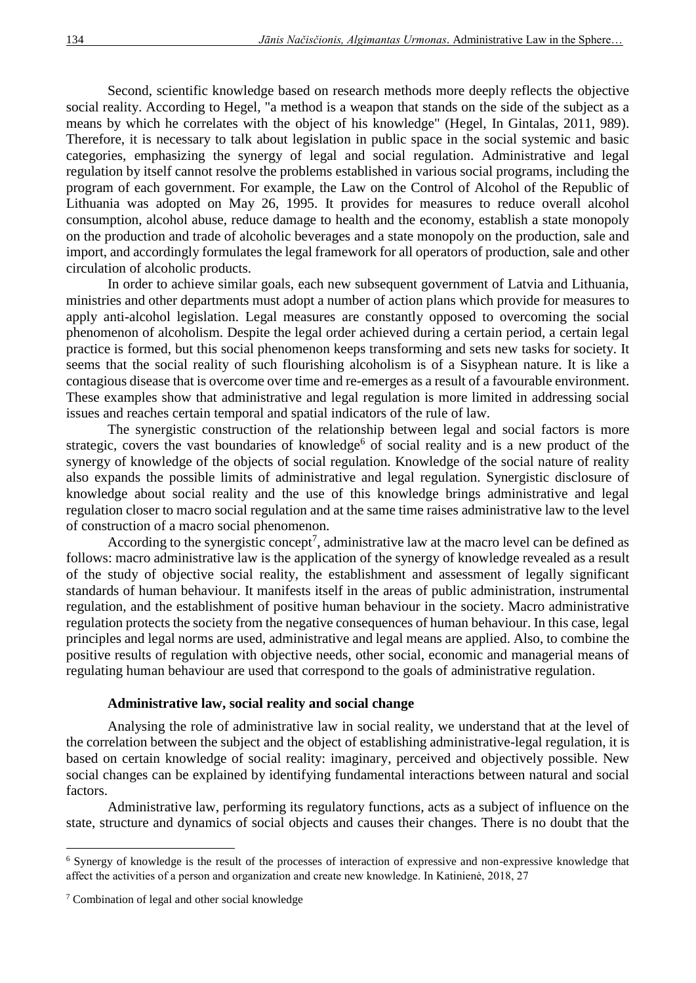Second, scientific knowledge based on research methods more deeply reflects the objective social reality. According to Hegel, "a method is a weapon that stands on the side of the subject as a means by which he correlates with the object of his knowledge" (Hegel, In Gintalas, 2011, 989). Therefore, it is necessary to talk about legislation in public space in the social systemic and basic categories, emphasizing the synergy of legal and social regulation. Administrative and legal regulation by itself cannot resolve the problems established in various social programs, including the program of each government. For example, the Law on the Control of Alcohol of the Republic of Lithuania was adopted on May 26, 1995. It provides for measures to reduce overall alcohol consumption, alcohol abuse, reduce damage to health and the economy, establish a state monopoly on the production and trade of alcoholic beverages and a state monopoly on the production, sale and import, and accordingly formulates the legal framework for all operators of production, sale and other circulation of alcoholic products.

In order to achieve similar goals, each new subsequent government of Latvia and Lithuania, ministries and other departments must adopt a number of action plans which provide for measures to apply anti-alcohol legislation. Legal measures are constantly opposed to overcoming the social phenomenon of alcoholism. Despite the legal order achieved during a certain period, a certain legal practice is formed, but this social phenomenon keeps transforming and sets new tasks for society. It seems that the social reality of such flourishing alcoholism is of a Sisyphean nature. It is like a contagious disease that is overcome over time and re-emerges as a result of a favourable environment. These examples show that administrative and legal regulation is more limited in addressing social issues and reaches certain temporal and spatial indicators of the rule of law.

The synergistic construction of the relationship between legal and social factors is more strategic, covers the vast boundaries of knowledge<sup>6</sup> of social reality and is a new product of the synergy of knowledge of the objects of social regulation. Knowledge of the social nature of reality also expands the possible limits of administrative and legal regulation. Synergistic disclosure of knowledge about social reality and the use of this knowledge brings administrative and legal regulation closer to macro social regulation and at the same time raises administrative law to the level of construction of a macro social phenomenon.

According to the synergistic concept<sup>7</sup>, administrative law at the macro level can be defined as follows: macro administrative law is the application of the synergy of knowledge revealed as a result of the study of objective social reality, the establishment and assessment of legally significant standards of human behaviour. It manifests itself in the areas of public administration, instrumental regulation, and the establishment of positive human behaviour in the society. Macro administrative regulation protects the society from the negative consequences of human behaviour. In this case, legal principles and legal norms are used, administrative and legal means are applied. Also, to combine the positive results of regulation with objective needs, other social, economic and managerial means of regulating human behaviour are used that correspond to the goals of administrative regulation.

#### **Administrative law, social reality and social change**

Analysing the role of administrative law in social reality, we understand that at the level of the correlation between the subject and the object of establishing administrative-legal regulation, it is based on certain knowledge of social reality: imaginary, perceived and objectively possible. New social changes can be explained by identifying fundamental interactions between natural and social factors.

Administrative law, performing its regulatory functions, acts as a subject of influence on the state, structure and dynamics of social objects and causes their changes. There is no doubt that the

 $\overline{\phantom{a}}$ 

<sup>6</sup> Synergy of knowledge is the result of the processes of interaction of expressive and non-expressive knowledge that affect the activities of a person and organization and create new knowledge. In Katinienė, 2018, 27

<sup>7</sup> Combination of legal and other social knowledge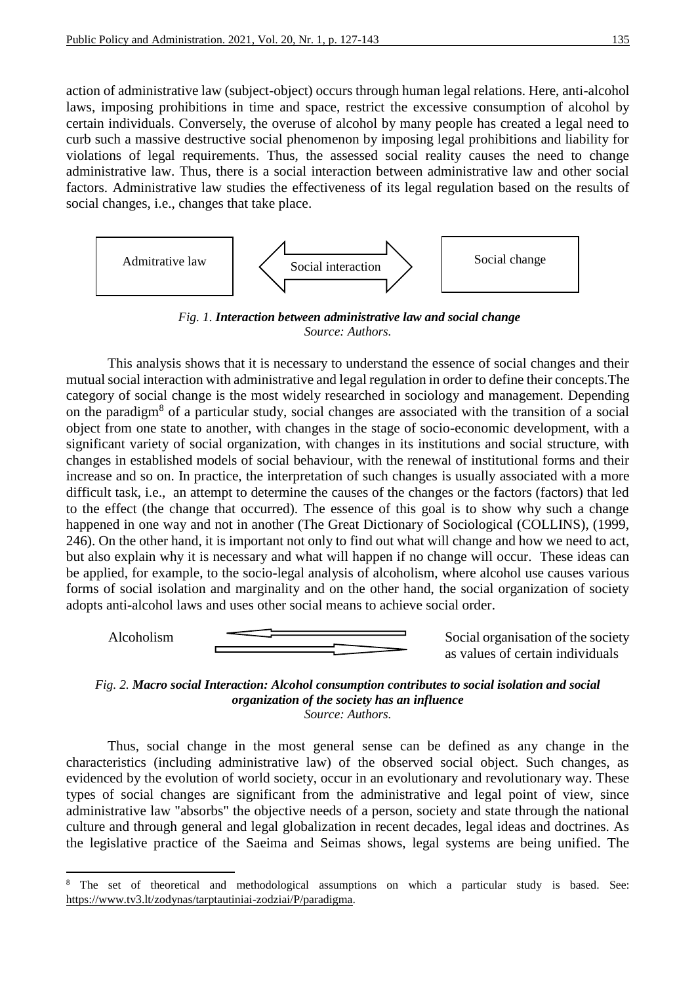action of administrative law (subject-object) occurs through human legal relations. Here, anti-alcohol laws, imposing prohibitions in time and space, restrict the excessive consumption of alcohol by certain individuals. Conversely, the overuse of alcohol by many people has created a legal need to curb such a massive destructive social phenomenon by imposing legal prohibitions and liability for violations of legal requirements. Thus, the assessed social reality causes the need to change administrative law. Thus, there is a social interaction between administrative law and other social factors. Administrative law studies the effectiveness of its legal regulation based on the results of social changes, i.e., changes that take place.



*Fig. 1. Interaction between administrative law and social change Source: Authors.*

This analysis shows that it is necessary to understand the essence of social changes and their mutual social interaction with administrative and legal regulation in order to define their concepts.The category of social change is the most widely researched in sociology and management. Depending on the paradigm<sup>8</sup> of a particular study, social changes are associated with the transition of a social object from one state to another, with changes in the stage of socio-economic development, with a significant variety of social organization, with changes in its institutions and social structure, with changes in established models of social behaviour, with the renewal of institutional forms and their increase and so on. In practice, the interpretation of such changes is usually associated with a more difficult task, i.e., an attempt to determine the causes of the changes or the factors (factors) that led to the effect (the change that occurred). The essence of this goal is to show why such a change happened in one way and not in another (The Great Dictionary of Sociological (COLLINS), (1999, 246). On the other hand, it is important not only to find out what will change and how we need to act, but also explain why it is necessary and what will happen if no change will occur. These ideas can be applied, for example, to the socio-legal analysis of alcoholism, where alcohol use causes various forms of social isolation and marginality and on the other hand, the social organization of society adopts anti-alcohol laws and uses other social means to achieve social order.



**.** 

as values of certain individuals



Thus, social change in the most general sense can be defined as any change in the characteristics (including administrative law) of the observed social object. Such changes, as evidenced by the evolution of world society, occur in an evolutionary and revolutionary way. These types of social changes are significant from the administrative and legal point of view, since administrative law "absorbs" the objective needs of a person, society and state through the national culture and through general and legal globalization in recent decades, legal ideas and doctrines. As the legislative practice of the Saeima and Seimas shows, legal systems are being unified. The

The set of theoretical and methodological assumptions on which a particular study is based. See: [https://www.tv3.lt/zodynas/tarptautiniai-zodziai/P/paradigma.](https://www.tv3.lt/zodynas/tarptautiniai-zodziai/P/paradigma)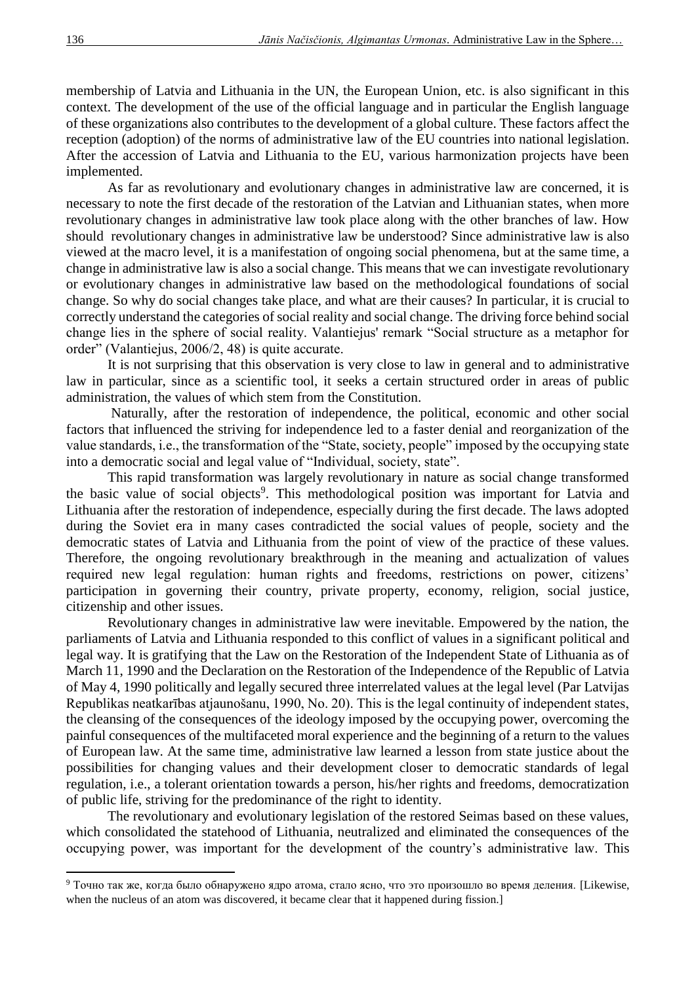membership of Latvia and Lithuania in the UN, the European Union, etc. is also significant in this context. The development of the use of the official language and in particular the English language of these organizations also contributes to the development of a global culture. These factors affect the reception (adoption) of the norms of administrative law of the EU countries into national legislation. After the accession of Latvia and Lithuania to the EU, various harmonization projects have been implemented.

As far as revolutionary and evolutionary changes in administrative law are concerned, it is necessary to note the first decade of the restoration of the Latvian and Lithuanian states, when more revolutionary changes in administrative law took place along with the other branches of law. How should revolutionary changes in administrative law be understood? Since administrative law is also viewed at the macro level, it is a manifestation of ongoing social phenomena, but at the same time, a change in administrative law is also a social change. This means that we can investigate revolutionary or evolutionary changes in administrative law based on the methodological foundations of social change. So why do social changes take place, and what are their causes? In particular, it is crucial to correctly understand the categories of social reality and social change. The driving force behind social change lies in the sphere of social reality. Valantiejus' remark "Social structure as a metaphor for order" (Valantiejus, 2006/2, 48) is quite accurate.

It is not surprising that this observation is very close to law in general and to administrative law in particular, since as a scientific tool, it seeks a certain structured order in areas of public administration, the values of which stem from the Constitution.

Naturally, after the restoration of independence, the political, economic and other social factors that influenced the striving for independence led to a faster denial and reorganization of the value standards, i.e., the transformation of the "State, society, people" imposed by the occupying state into a democratic social and legal value of "Individual, society, state".

This rapid transformation was largely revolutionary in nature as social change transformed the basic value of social objects<sup>9</sup>. This methodological position was important for Latvia and Lithuania after the restoration of independence, especially during the first decade. The laws adopted during the Soviet era in many cases contradicted the social values of people, society and the democratic states of Latvia and Lithuania from the point of view of the practice of these values. Therefore, the ongoing revolutionary breakthrough in the meaning and actualization of values required new legal regulation: human rights and freedoms, restrictions on power, citizens' participation in governing their country, private property, economy, religion, social justice, citizenship and other issues.

Revolutionary changes in administrative law were inevitable. Empowered by the nation, the parliaments of Latvia and Lithuania responded to this conflict of values in a significant political and legal way. It is gratifying that the Law on the Restoration of the Independent State of Lithuania as of March 11, 1990 and the Declaration on the Restoration of the Independence of the Republic of Latvia of May 4, 1990 politically and legally secured three interrelated values at the legal level (Par Latvijas Republikas neatkarības atjaunošanu, 1990, No. 20). This is the legal continuity of independent states, the cleansing of the consequences of the ideology imposed by the occupying power, overcoming the painful consequences of the multifaceted moral experience and the beginning of a return to the values of European law. At the same time, administrative law learned a lesson from state justice about the possibilities for changing values and their development closer to democratic standards of legal regulation, i.e., a tolerant orientation towards a person, his/her rights and freedoms, democratization of public life, striving for the predominance of the right to identity.

The revolutionary and evolutionary legislation of the restored Seimas based on these values, which consolidated the statehood of Lithuania, neutralized and eliminated the consequences of the occupying power, was important for the development of the country's administrative law. This

<sup>9</sup> Точно так же, когда было обнаружено ядро атома, стало ясно, что это произошло во время деления. [Likewise, when the nucleus of an atom was discovered, it became clear that it happened during fission.]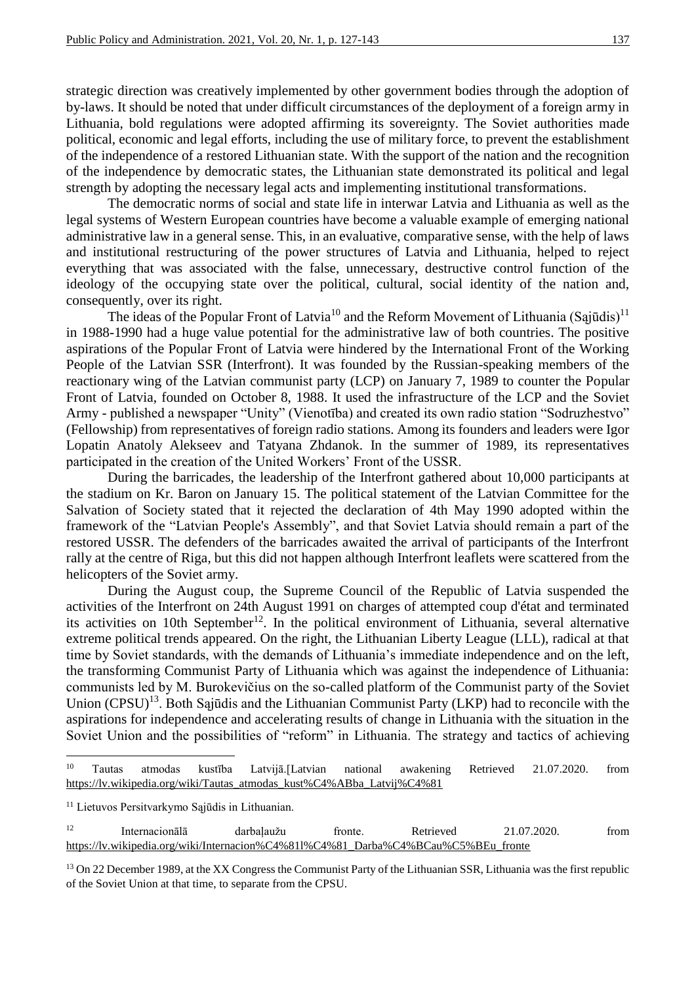strategic direction was creatively implemented by other government bodies through the adoption of by-laws. It should be noted that under difficult circumstances of the deployment of a foreign army in Lithuania, bold regulations were adopted affirming its sovereignty. The Soviet authorities made political, economic and legal efforts, including the use of military force, to prevent the establishment of the independence of a restored Lithuanian state. With the support of the nation and the recognition of the independence by democratic states, the Lithuanian state demonstrated its political and legal strength by adopting the necessary legal acts and implementing institutional transformations.

The democratic norms of social and state life in interwar Latvia and Lithuania as well as the legal systems of Western European countries have become a valuable example of emerging national administrative law in a general sense. This, in an evaluative, comparative sense, with the help of laws and institutional restructuring of the power structures of Latvia and Lithuania, helped to reject everything that was associated with the false, unnecessary, destructive control function of the ideology of the occupying state over the political, cultural, social identity of the nation and, consequently, over its right.

The ideas of the Popular Front of Latvia<sup>10</sup> and the Reform Movement of Lithuania (Sajūdis)<sup>11</sup> in 1988-1990 had a huge value potential for the administrative law of both countries. The positive aspirations of the Popular Front of Latvia were hindered by the International Front of the Working People of the Latvian SSR (Interfront). It was founded by the Russian-speaking members of the reactionary wing of the Latvian communist party (LCP) on January 7, 1989 to counter the Popular Front of Latvia, founded on October 8, 1988. It used the infrastructure of the LCP and the Soviet Army - published a newspaper "Unity" (Vienotība) and created its own radio station "Sodruzhestvo" (Fellowship) from representatives of foreign radio stations. Among its founders and leaders were Igor Lopatin Anatoly Alekseev and Tatyana Zhdanok. In the summer of 1989, its representatives participated in the creation of the United Workers' Front of the USSR.

During the barricades, the leadership of the Interfront gathered about 10,000 participants at the stadium on Kr. Baron on January 15. The political statement of the Latvian Committee for the Salvation of Society stated that it rejected the declaration of 4th May 1990 adopted within the framework of the "Latvian People's Assembly", and that Soviet Latvia should remain a part of the restored USSR. The defenders of the barricades awaited the arrival of participants of the Interfront rally at the centre of Riga, but this did not happen although Interfront leaflets were scattered from the helicopters of the Soviet army.

During the August coup, the Supreme Council of the Republic of Latvia suspended the activities of the Interfront on 24th August 1991 on charges of attempted coup d'état and terminated its activities on 10th September<sup>12</sup>. In the political environment of Lithuania, several alternative extreme political trends appeared. On the right, the Lithuanian Liberty League (LLL), radical at that time by Soviet standards, with the demands of Lithuania's immediate independence and on the left, the transforming Communist Party of Lithuania which was against the independence of Lithuania: communists led by M. Burokevičius on the so-called platform of the Communist party of the Soviet Union (CPSU)<sup>13</sup>. Both Sąjūdis and the Lithuanian Communist Party (LKP) had to reconcile with the aspirations for independence and accelerating results of change in Lithuania with the situation in the Soviet Union and the possibilities of "reform" in Lithuania. The strategy and tactics of achieving

 $10$ <sup>10</sup> Tautas atmodas kustība Latvijā.[Latvian national awakening Retrieved 21.07.2020. from [https://lv.wikipedia.org/wiki/Tautas\\_atmodas\\_kust%C4%ABba\\_Latvij%C4%81](https://lv.wikipedia.org/wiki/Tautas_atmodas_kust%C4%ABba_Latvij%C4%81)

<sup>&</sup>lt;sup>11</sup> Lietuvos Persitvarkymo Sąjūdis in Lithuanian.

<sup>&</sup>lt;sup>12</sup> Internacionālā darbaļaužu fronte. Retrieved 21.07.2020. from [https://lv.wikipedia.org/wiki/Internacion%C4%81l%C4%81\\_Darba%C4%BCau%C5%BEu\\_fronte](https://lv.wikipedia.org/wiki/Internacion%C4%81l%C4%81_Darba%C4%BCau%C5%BEu_fronte)

<sup>&</sup>lt;sup>13</sup> On 22 December 1989, at the XX Congress the Communist Party of the Lithuanian SSR, Lithuania was the first republic of the Soviet Union at that time, to separate from the CPSU.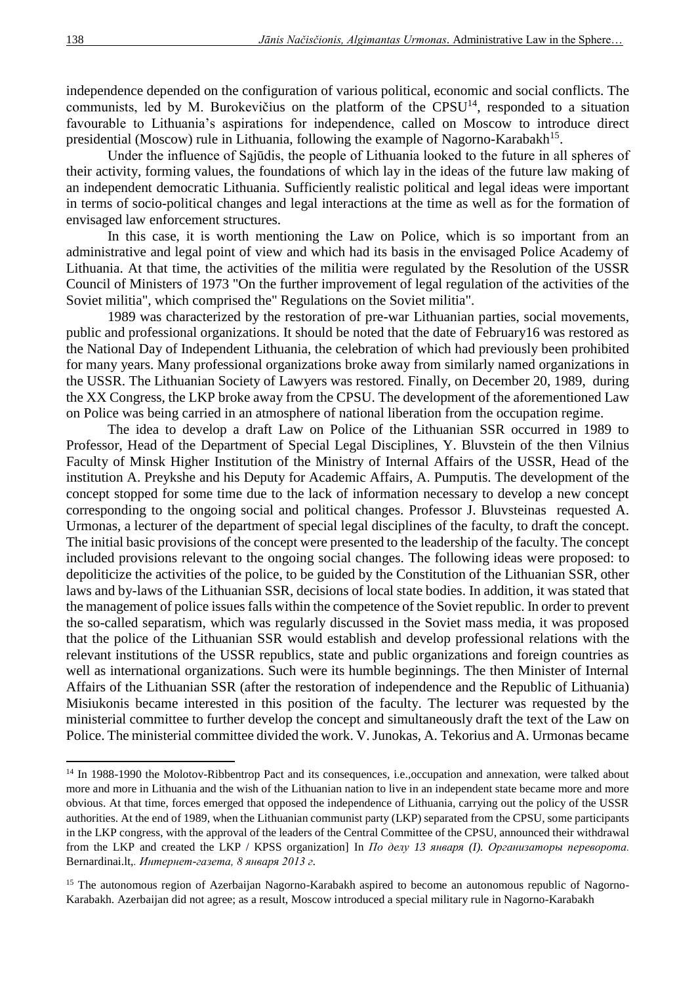independence depended on the configuration of various political, economic and social conflicts. The communists, led by M. Burokevičius on the platform of the CPSU<sup>14</sup>, responded to a situation favourable to Lithuania's aspirations for independence, called on Moscow to introduce direct presidential (Moscow) rule in Lithuania, following the example of Nagorno-Karabakh<sup>15</sup>.

Under the influence of Sąjūdis, the people of Lithuania looked to the future in all spheres of their activity, forming values, the foundations of which lay in the ideas of the future law making of an independent democratic Lithuania. Sufficiently realistic political and legal ideas were important in terms of socio-political changes and legal interactions at the time as well as for the formation of envisaged law enforcement structures.

In this case, it is worth mentioning the Law on Police, which is so important from an administrative and legal point of view and which had its basis in the envisaged Police Academy of Lithuania. At that time, the activities of the militia were regulated by the Resolution of the USSR Council of Ministers of 1973 "On the further improvement of legal regulation of the activities of the Soviet militia", which comprised the" Regulations on the Soviet militia".

1989 was characterized by the restoration of pre-war Lithuanian parties, social movements, public and professional organizations. It should be noted that the date of February16 was restored as the National Day of Independent Lithuania, the celebration of which had previously been prohibited for many years. Many professional organizations broke away from similarly named organizations in the USSR. The Lithuanian Society of Lawyers was restored. Finally, on December 20, 1989, during the XX Congress, the LKP broke away from the CPSU. The development of the aforementioned Law on Police was being carried in an atmosphere of national liberation from the occupation regime.

The idea to develop a draft Law on Police of the Lithuanian SSR occurred in 1989 to Professor, Head of the Department of Special Legal Disciplines, Y. Bluvstein of the then Vilnius Faculty of Minsk Higher Institution of the Ministry of Internal Affairs of the USSR, Head of the institution A. Preykshe and his Deputy for Academic Affairs, A. Pumputis. The development of the concept stopped for some time due to the lack of information necessary to develop a new concept corresponding to the ongoing social and political changes. Professor J. Bluvsteinas requested A. Urmonas, a lecturer of the department of special legal disciplines of the faculty, to draft the concept. The initial basic provisions of the concept were presented to the leadership of the faculty. The concept included provisions relevant to the ongoing social changes. The following ideas were proposed: to depoliticize the activities of the police, to be guided by the Constitution of the Lithuanian SSR, other laws and by-laws of the Lithuanian SSR, decisions of local state bodies. In addition, it was stated that the management of police issues falls within the competence of the Soviet republic. In order to prevent the so-called separatism, which was regularly discussed in the Soviet mass media, it was proposed that the police of the Lithuanian SSR would establish and develop professional relations with the relevant institutions of the USSR republics, state and public organizations and foreign countries as well as international organizations. Such were its humble beginnings. The then Minister of Internal Affairs of the Lithuanian SSR (after the restoration of independence and the Republic of Lithuania) Misiukonis became interested in this position of the faculty. The lecturer was requested by the ministerial committee to further develop the concept and simultaneously draft the text of the Law on Police. The ministerial committee divided the work. V. Junokas, A. Tekorius and A. Urmonas became

<sup>&</sup>lt;sup>14</sup> In 1988-1990 the Molotov-Ribbentrop Pact and its consequences, i.e.,occupation and annexation, were talked about more and more in Lithuania and the wish of the Lithuanian nation to live in an independent state became more and more obvious. At that time, forces emerged that opposed the independence of Lithuania, carrying out the policy of the USSR authorities. At the end of 1989, when the Lithuanian communist party (LKP) separated from the CPSU, some participants in the LKP congress, with the approval of the leaders of the Central Committee of the CPSU, announced their withdrawal from the LKP and created the LKP / KPSS organization] In *По делу 13 января (I). Организаторы переворота.*  Bernardinai.lt,*. Интернет-газета, 8 января 2013 г.*

<sup>&</sup>lt;sup>15</sup> The autonomous region of Azerbaijan Nagorno-Karabakh aspired to become an autonomous republic of Nagorno-Karabakh. Azerbaijan did not agree; as a result, Moscow introduced a special military rule in Nagorno-Karabakh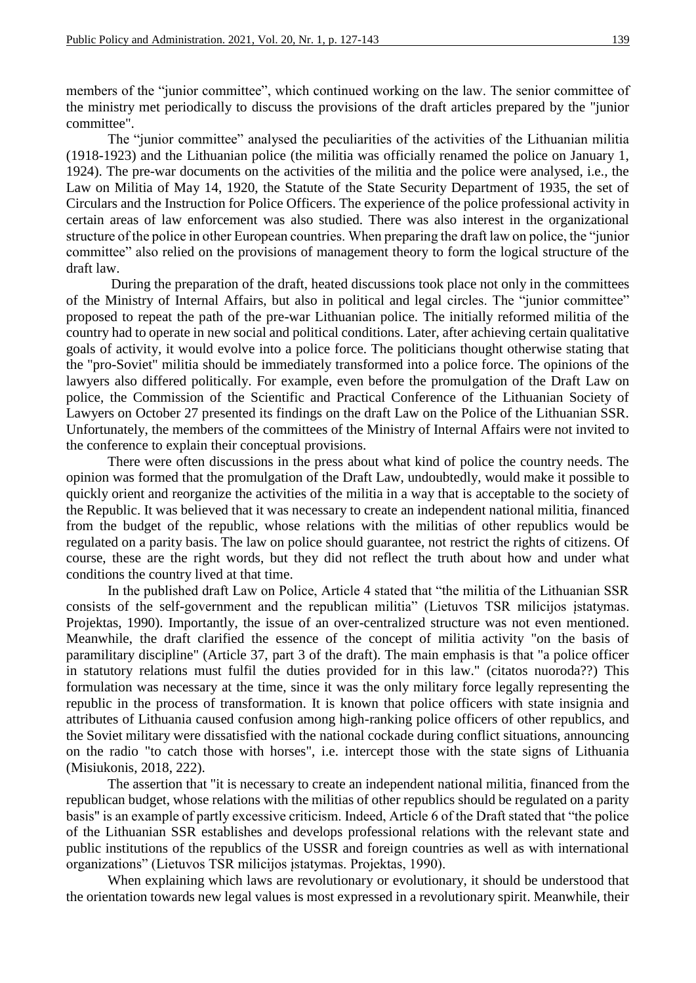members of the "junior committee", which continued working on the law. The senior committee of the ministry met periodically to discuss the provisions of the draft articles prepared by the "junior committee".

The "junior committee" analysed the peculiarities of the activities of the Lithuanian militia (1918-1923) and the Lithuanian police (the militia was officially renamed the police on January 1, 1924). The pre-war documents on the activities of the militia and the police were analysed, i.e., the Law on Militia of May 14, 1920, the Statute of the State Security Department of 1935, the set of Circulars and the Instruction for Police Officers. The experience of the police professional activity in certain areas of law enforcement was also studied. There was also interest in the organizational structure of the police in other European countries. When preparing the draft law on police, the "junior committee" also relied on the provisions of management theory to form the logical structure of the draft law.

During the preparation of the draft, heated discussions took place not only in the committees of the Ministry of Internal Affairs, but also in political and legal circles. The "junior committee" proposed to repeat the path of the pre-war Lithuanian police. The initially reformed militia of the country had to operate in new social and political conditions. Later, after achieving certain qualitative goals of activity, it would evolve into a police force. The politicians thought otherwise stating that the "pro-Soviet" militia should be immediately transformed into a police force. The opinions of the lawyers also differed politically. For example, even before the promulgation of the Draft Law on police, the Commission of the Scientific and Practical Conference of the Lithuanian Society of Lawyers on October 27 presented its findings on the draft Law on the Police of the Lithuanian SSR. Unfortunately, the members of the committees of the Ministry of Internal Affairs were not invited to the conference to explain their conceptual provisions.

There were often discussions in the press about what kind of police the country needs. The opinion was formed that the promulgation of the Draft Law, undoubtedly, would make it possible to quickly orient and reorganize the activities of the militia in a way that is acceptable to the society of the Republic. It was believed that it was necessary to create an independent national militia, financed from the budget of the republic, whose relations with the militias of other republics would be regulated on a parity basis. The law on police should guarantee, not restrict the rights of citizens. Of course, these are the right words, but they did not reflect the truth about how and under what conditions the country lived at that time.

In the published draft Law on Police, Article 4 stated that "the militia of the Lithuanian SSR consists of the self-government and the republican militia" (Lietuvos TSR milicijos įstatymas. Projektas, 1990). Importantly, the issue of an over-centralized structure was not even mentioned. Meanwhile, the draft clarified the essence of the concept of militia activity "on the basis of paramilitary discipline" (Article 37, part 3 of the draft). The main emphasis is that "a police officer in statutory relations must fulfil the duties provided for in this law." (citatos nuoroda??) This formulation was necessary at the time, since it was the only military force legally representing the republic in the process of transformation. It is known that police officers with state insignia and attributes of Lithuania caused confusion among high-ranking police officers of other republics, and the Soviet military were dissatisfied with the national cockade during conflict situations, announcing on the radio "to catch those with horses", i.e. intercept those with the state signs of Lithuania (Misiukonis, 2018, 222).

The assertion that "it is necessary to create an independent national militia, financed from the republican budget, whose relations with the militias of other republics should be regulated on a parity basis" is an example of partly excessive criticism. Indeed, Article 6 of the Draft stated that "the police of the Lithuanian SSR establishes and develops professional relations with the relevant state and public institutions of the republics of the USSR and foreign countries as well as with international organizations" (Lietuvos TSR milicijos įstatymas. Projektas, 1990).

When explaining which laws are revolutionary or evolutionary, it should be understood that the orientation towards new legal values is most expressed in a revolutionary spirit. Meanwhile, their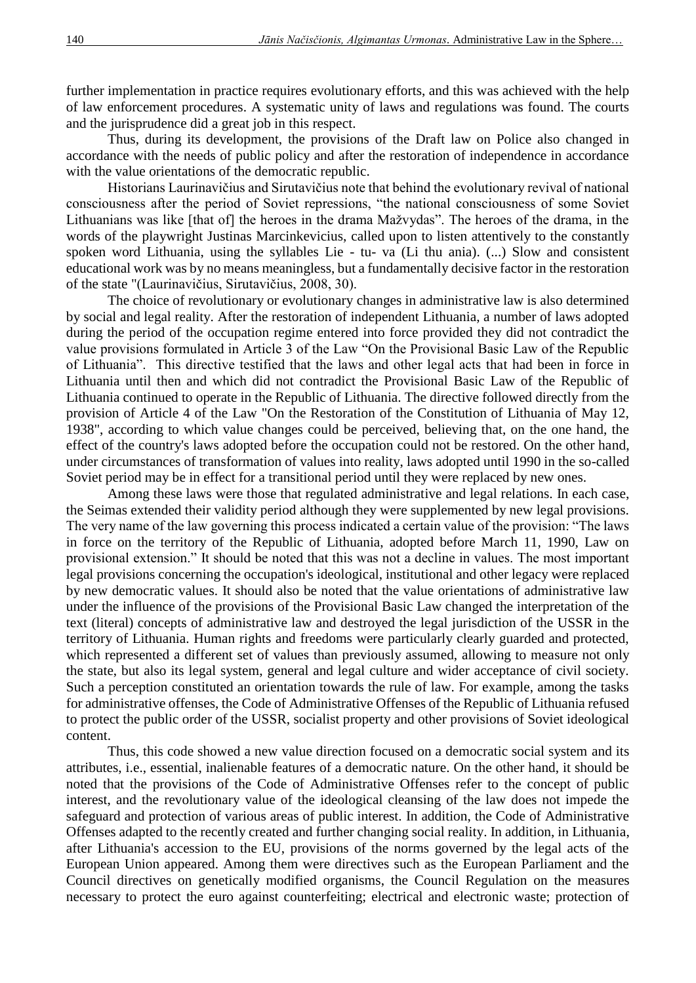further implementation in practice requires evolutionary efforts, and this was achieved with the help of law enforcement procedures. A systematic unity of laws and regulations was found. The courts and the jurisprudence did a great job in this respect.

Thus, during its development, the provisions of the Draft law on Police also changed in accordance with the needs of public policy and after the restoration of independence in accordance with the value orientations of the democratic republic.

Historians Laurinavičius and Sirutavičius note that behind the evolutionary revival of national consciousness after the period of Soviet repressions, "the national consciousness of some Soviet Lithuanians was like [that of] the heroes in the drama Mažvydas". The heroes of the drama, in the words of the playwright Justinas Marcinkevicius, called upon to listen attentively to the constantly spoken word Lithuania, using the syllables Lie - tu- va (Li thu ania). (...) Slow and consistent educational work was by no means meaningless, but a fundamentally decisive factor in the restoration of the state "(Laurinavičius, Sirutavičius, 2008, 30).

The choice of revolutionary or evolutionary changes in administrative law is also determined by social and legal reality. After the restoration of independent Lithuania, a number of laws adopted during the period of the occupation regime entered into force provided they did not contradict the value provisions formulated in Article 3 of the Law "On the Provisional Basic Law of the Republic of Lithuania". This directive testified that the laws and other legal acts that had been in force in Lithuania until then and which did not contradict the Provisional Basic Law of the Republic of Lithuania continued to operate in the Republic of Lithuania. The directive followed directly from the provision of Article 4 of the Law "On the Restoration of the Constitution of Lithuania of May 12, 1938", according to which value changes could be perceived, believing that, on the one hand, the effect of the country's laws adopted before the occupation could not be restored. On the other hand, under circumstances of transformation of values into reality, laws adopted until 1990 in the so-called Soviet period may be in effect for a transitional period until they were replaced by new ones.

Among these laws were those that regulated administrative and legal relations. In each case, the Seimas extended their validity period although they were supplemented by new legal provisions. The very name of the law governing this process indicated a certain value of the provision: "The laws in force on the territory of the Republic of Lithuania, adopted before March 11, 1990, Law on provisional extension." It should be noted that this was not a decline in values. The most important legal provisions concerning the occupation's ideological, institutional and other legacy were replaced by new democratic values. It should also be noted that the value orientations of administrative law under the influence of the provisions of the Provisional Basic Law changed the interpretation of the text (literal) concepts of administrative law and destroyed the legal jurisdiction of the USSR in the territory of Lithuania. Human rights and freedoms were particularly clearly guarded and protected, which represented a different set of values than previously assumed, allowing to measure not only the state, but also its legal system, general and legal culture and wider acceptance of civil society. Such a perception constituted an orientation towards the rule of law. For example, among the tasks for administrative offenses, the Code of Administrative Offenses of the Republic of Lithuania refused to protect the public order of the USSR, socialist property and other provisions of Soviet ideological content.

Thus, this code showed a new value direction focused on a democratic social system and its attributes, i.e., essential, inalienable features of a democratic nature. On the other hand, it should be noted that the provisions of the Code of Administrative Offenses refer to the concept of public interest, and the revolutionary value of the ideological cleansing of the law does not impede the safeguard and protection of various areas of public interest. In addition, the Code of Administrative Offenses adapted to the recently created and further changing social reality. In addition, in Lithuania, after Lithuania's accession to the EU, provisions of the norms governed by the legal acts of the European Union appeared. Among them were directives such as the European Parliament and the Council directives on genetically modified organisms, the Council Regulation on the measures necessary to protect the euro against counterfeiting; electrical and electronic waste; protection of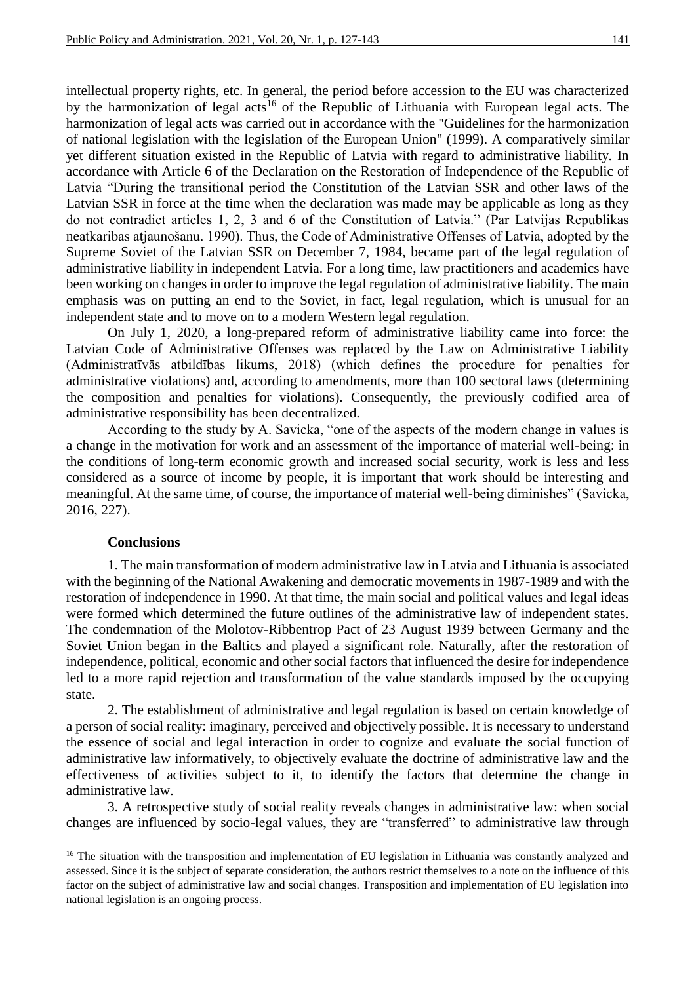intellectual property rights, etc. In general, the period before accession to the EU was characterized by the harmonization of legal acts<sup>16</sup> of the Republic of Lithuania with European legal acts. The harmonization of legal acts was carried out in accordance with the "Guidelines for the harmonization of national legislation with the legislation of the European Union" (1999). A comparatively similar yet different situation existed in the Republic of Latvia with regard to administrative liability. In accordance with Article 6 of the Declaration on the Restoration of Independence of the Republic of Latvia "During the transitional period the Constitution of the Latvian SSR and other laws of the Latvian SSR in force at the time when the declaration was made may be applicable as long as they do not contradict articles 1, 2, 3 and 6 of the Constitution of Latvia." (Par Latvijas Republikas neatkaribas atjaunošanu. 1990). Thus, the Code of Administrative Offenses of Latvia, adopted by the Supreme Soviet of the Latvian SSR on December 7, 1984, became part of the legal regulation of administrative liability in independent Latvia. For a long time, law practitioners and academics have been working on changes in order to improve the legal regulation of administrative liability. The main emphasis was on putting an end to the Soviet, in fact, legal regulation, which is unusual for an independent state and to move on to a modern Western legal regulation.

On July 1, 2020, a long-prepared reform of administrative liability came into force: the Latvian Code of Administrative Offenses was replaced by the Law on Administrative Liability (Administratīvās atbildības likums, 2018) (which defines the procedure for penalties for administrative violations) and, according to amendments, more than 100 sectoral laws (determining the composition and penalties for violations). Consequently, the previously codified area of administrative responsibility has been decentralized.

According to the study by A. Savicka, "one of the aspects of the modern change in values is a change in the motivation for work and an assessment of the importance of material well-being: in the conditions of long-term economic growth and increased social security, work is less and less considered as a source of income by people, it is important that work should be interesting and meaningful. At the same time, of course, the importance of material well-being diminishes" (Savicka, 2016, 227).

#### **Conclusions**

**.** 

1. The main transformation of modern administrative law in Latvia and Lithuania is associated with the beginning of the National Awakening and democratic movements in 1987-1989 and with the restoration of independence in 1990. At that time, the main social and political values and legal ideas were formed which determined the future outlines of the administrative law of independent states. The condemnation of the Molotov-Ribbentrop Pact of 23 August 1939 between Germany and the Soviet Union began in the Baltics and played a significant role. Naturally, after the restoration of independence, political, economic and other social factors that influenced the desire for independence led to a more rapid rejection and transformation of the value standards imposed by the occupying state.

2. The establishment of administrative and legal regulation is based on certain knowledge of a person of social reality: imaginary, perceived and objectively possible. It is necessary to understand the essence of social and legal interaction in order to cognize and evaluate the social function of administrative law informatively, to objectively evaluate the doctrine of administrative law and the effectiveness of activities subject to it, to identify the factors that determine the change in administrative law.

3. A retrospective study of social reality reveals changes in administrative law: when social changes are influenced by socio-legal values, they are "transferred" to administrative law through

<sup>&</sup>lt;sup>16</sup> The situation with the transposition and implementation of EU legislation in Lithuania was constantly analyzed and assessed. Since it is the subject of separate consideration, the authors restrict themselves to a note on the influence of this factor on the subject of administrative law and social changes. Transposition and implementation of EU legislation into national legislation is an ongoing process.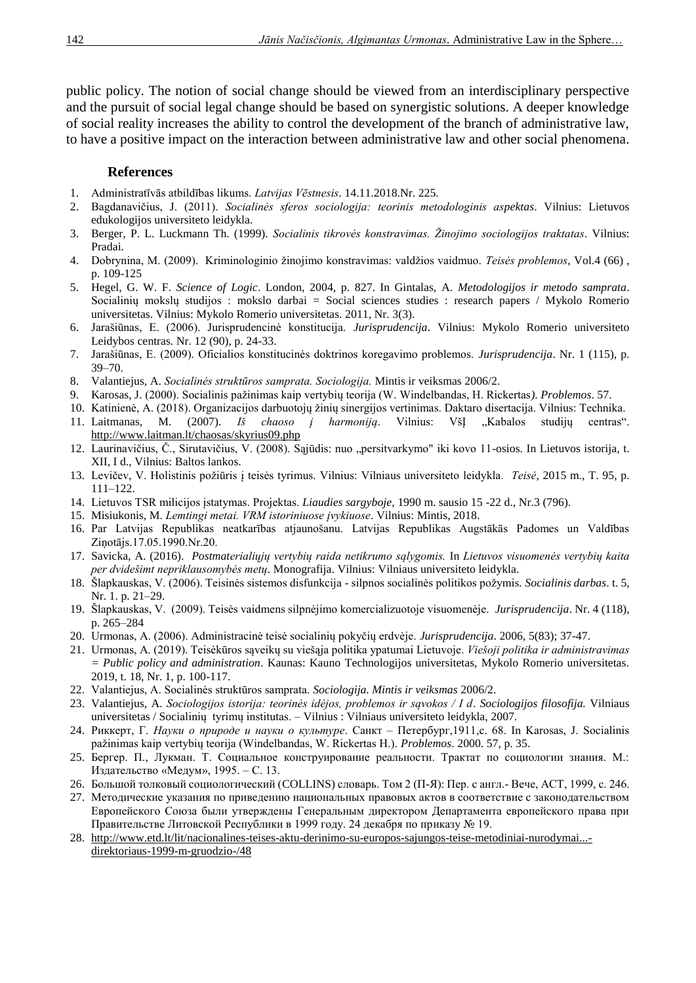public policy. The notion of social change should be viewed from an interdisciplinary perspective and the pursuit of social legal change should be based on synergistic solutions. A deeper knowledge of social reality increases the ability to control the development of the branch of administrative law, to have a positive impact on the interaction between administrative law and other social phenomena.

### **References**

- 1. Administratīvās atbildības likums. *Latvijas Vēstnesis*. 14.11.2018.Nr. 225.
- 2. Bagdanavičius, J. (2011). *Socialinės sferos sociologija: teorinis metodologinis aspektas*. Vilnius: Lietuvos edukologijos universiteto leidykla.
- 3. Berger, P. L. Luckmann Th. (1999). *Socialinis tikrovės konstravimas. Žinojimo sociologijos traktatas*. Vilnius: Pradai.
- 4. Dobrynina, M. (2009). Kriminologinio žinojimo konstravimas: valdžios vaidmuo. *Teisės problemos*, Vol.4 (66) , p. 109-125
- 5. Hegel, G. W. F. *Science of Logic*. London, 2004, p. 827. In Gintalas, A. *Metodologijos ir metodo samprata*. Socialinių mokslų studijos : mokslo darbai = Social sciences studies : research papers / Mykolo Romerio universitetas. Vilnius: Mykolo Romerio universitetas. 2011, Nr. 3(3).
- 6. Jarašiūnas, E. (2006). Jurisprudencinė konstitucija. *Jurisprudencija*. Vilnius: Mykolo Romerio universiteto Leidybos centras. Nr. 12 (90), p. 24-33.
- 7. Jarašiūnas, E. (2009). Oficialios konstitucinės doktrinos koregavimo problemos. *Jurisprudencija*. Nr. 1 (115), p. 39–70.
- 8. Valantiejus, A. *Socialinės struktūros samprata. Sociologija.* Mintis ir veiksmas 2006/2.
- 9. Karosas, J. (2000). Socialinis pažinimas kaip vertybių teorija (W. Windelbandas, H. Rickertas*)*. *Problemos*. 57.
- 10. Katinienė, A. (2018). Organizacijos darbuotojų žinių sinergijos vertinimas. Daktaro disertacija. Vilnius: Technika.
- 11. Laitmanas, M. (2007). *Iš chaoso į harmoniją*. Vilnius: VšĮ "Kabalos studijų centras". <http://www.laitman.lt/chaosas/skyrius09.php>
- 12. Laurinavičius, Č., Sirutavičius, V. (2008). Sąjūdis: nuo "persitvarkymo" iki kovo 11-osios. In Lietuvos istorija, t. XII, I d., Vilnius: Baltos lankos.
- 13. Levičev, V. Holistinis požiūris į teisės tyrimus. Vilnius: Vilniaus universiteto leidykla*. Teisė*, 2015 m., T. 95, p. 111–122.
- 14. Lietuvos TSR milicijos įstatymas. Projektas. *Liaudies sargyboje*, 1990 m. sausio 15 -22 d., Nr.3 (796).
- 15. Misiukonis, M. *Lemtingi metai. VRM istoriniuose įvykiuose*. Vilnius: Mintis, 2018.
- 16. Par Latvijas Republikas neatkarības atjaunošanu. Latvijas Republikas Augstākās Padomes un Valdības Ziņotājs.17.05.1990.Nr.20.
- 17. Savicka, A. (2016). *Postmaterialiųjų vertybių raida netikrumo sąlygomis.* In *Lietuvos visuomenės vertybių kaita per dvidešimt nepriklausomybės metų*. Monografija. Vilnius: Vilniaus universiteto leidykla.
- 18. Šlapkauskas, V. (2006). Teisinės sistemos disfunkcija silpnos socialinės politikos požymis*. Socialinis darbas*. t. 5, Nr. 1. p. 21–29.
- 19. Šlapkauskas, V. (2009). Teisės vaidmens silpnėjimo komercializuotoje visuomenėje. *Jurisprudencija*. Nr. 4 (118), p. 265–284
- 20. Urmonas, A. (2006). Administracinė teisė socialinių pokyčių erdvėje. *Jurisprudencija*. 2006, 5(83); 37-47.
- 21. Urmonas, A. (2019). Teisėkūros sąveikų su viešąja politika ypatumai Lietuvoje. *Viešoji politika ir administravimas = Public policy and administration*. Kaunas: Kauno Technologijos universitetas, Mykolo Romerio universitetas. 2019, t. 18, Nr. 1, p. 100-117.
- 22. Valantiejus, A. Socialinės struktūros samprata. *Sociologija. Mintis ir veiksmas* 2006/2.
- 23. Valantiejus, A. *Sociologijos istorija: teorinės idėjos, problemos ir sąvokos / I d*. *Sociologijos filosofija.* Vilniaus universitetas / Socialinių tyrimų institutas. – Vilnius : Vilniaus universiteto leidykla, 2007.
- 24. Риккерт, Г. *Науки о природе и науки о культуре*. Caнкт Пeтepбypг,1911,с. 68. In Karosas, J. Socialinis pažinimas kaip vertybių teorija (Windelbandas, W. Rickertas H.). *Problemos*. 2000. 57, p. 35.
- 25. Бергер. П., Лукман. Т. Социальное конструирование реальности. Трактат по социологии знания. М.: Издательство «Медум», 1995. – С. 13.
- 26. Большой толковый социологический (COLLINS) словарь. Том 2 (П-Я): Пер. с англ.- Вече, АСТ, 1999, с. 246.
- 27. Методические указания по приведению национальных правовых актов в соответствие с законодательством Европейского Союза были утверждены Генеральным директором Департамента европейского права при Правительстве Литовской Республики в 1999 году. 24 декабря по приказу № 19.
- 28. [http://www.etd.lt/lit/nacionalines-teises-aktu-derinimo-su-europos-sajungos-teise-metodiniai-nurodymai...](http://www.etd.lt/lit/NACIONALINES-TEISES-AKTU-DERINIMO-SU-EUROPOS-SAJUNGOS-TEISE-METODINIAI-NURODYMAI...-DIREKTORIAUS-1999-M-GRUODZIO-/48) [direktoriaus-1999-m-gruodzio-/48](http://www.etd.lt/lit/NACIONALINES-TEISES-AKTU-DERINIMO-SU-EUROPOS-SAJUNGOS-TEISE-METODINIAI-NURODYMAI...-DIREKTORIAUS-1999-M-GRUODZIO-/48)